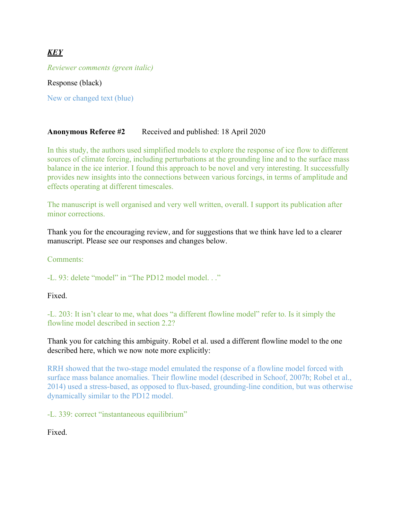# *KEY*

*Reviewer comments (green italic)*

Response (black)

New or changed text (blue)

## **Anonymous Referee #2** Received and published: 18 April 2020

In this study, the authors used simplified models to explore the response of ice flow to different sources of climate forcing, including perturbations at the grounding line and to the surface mass balance in the ice interior. I found this approach to be novel and very interesting. It successfully provides new insights into the connections between various forcings, in terms of amplitude and effects operating at different timescales.

The manuscript is well organised and very well written, overall. I support its publication after minor corrections.

Thank you for the encouraging review, and for suggestions that we think have led to a clearer manuscript. Please see our responses and changes below.

Comments:

-L. 93: delete "model" in "The PD12 model model. . ."

Fixed.

-L. 203: It isn't clear to me, what does "a different flowline model" refer to. Is it simply the flowline model described in section 2.2?

Thank you for catching this ambiguity. Robel et al. used a different flowline model to the one described here, which we now note more explicitly:

RRH showed that the two-stage model emulated the response of a flowline model forced with surface mass balance anomalies. Their flowline model (described in Schoof, 2007b; Robel et al., 2014) used a stress-based, as opposed to flux-based, grounding-line condition, but was otherwise dynamically similar to the PD12 model.

-L. 339: correct "instantaneous equilibrium"

Fixed.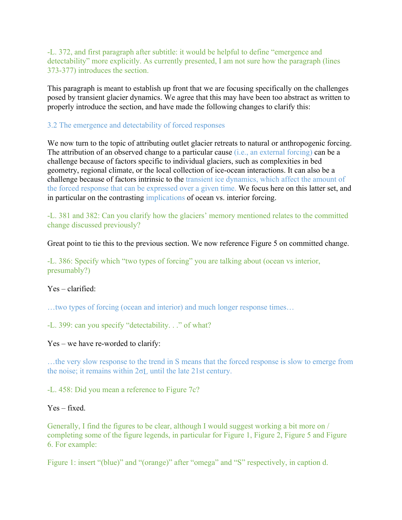-L. 372, and first paragraph after subtitle: it would be helpful to define "emergence and detectability" more explicitly. As currently presented, I am not sure how the paragraph (lines 373-377) introduces the section.

This paragraph is meant to establish up front that we are focusing specifically on the challenges posed by transient glacier dynamics. We agree that this may have been too abstract as written to properly introduce the section, and have made the following changes to clarify this:

### 3.2 The emergence and detectability of forced responses

We now turn to the topic of attributing outlet glacier retreats to natural or anthropogenic forcing. The attribution of an observed change to a particular cause (i.e., an external forcing) can be a challenge because of factors specific to individual glaciers, such as complexities in bed geometry, regional climate, or the local collection of ice-ocean interactions. It can also be a challenge because of factors intrinsic to the transient ice dynamics, which affect the amount of the forced response that can be expressed over a given time. We focus here on this latter set, and in particular on the contrasting implications of ocean vs. interior forcing.

-L. 381 and 382: Can you clarify how the glaciers' memory mentioned relates to the committed change discussed previously?

Great point to tie this to the previous section. We now reference Figure 5 on committed change.

-L. 386: Specify which "two types of forcing" you are talking about (ocean vs interior, presumably?)

Yes – clarified:

…two types of forcing (ocean and interior) and much longer response times…

-L. 399: can you specify "detectability. . ." of what?

Yes – we have re-worded to clarify:

…the very slow response to the trend in S means that the forced response is slow to emerge from the noise; it remains within 2σL until the late 21st century.

-L. 458: Did you mean a reference to Figure 7c?

Yes – fixed.

Generally, I find the figures to be clear, although I would suggest working a bit more on / completing some of the figure legends, in particular for Figure 1, Figure 2, Figure 5 and Figure 6. For example:

Figure 1: insert "(blue)" and "(orange)" after "omega" and "S" respectively, in caption d.